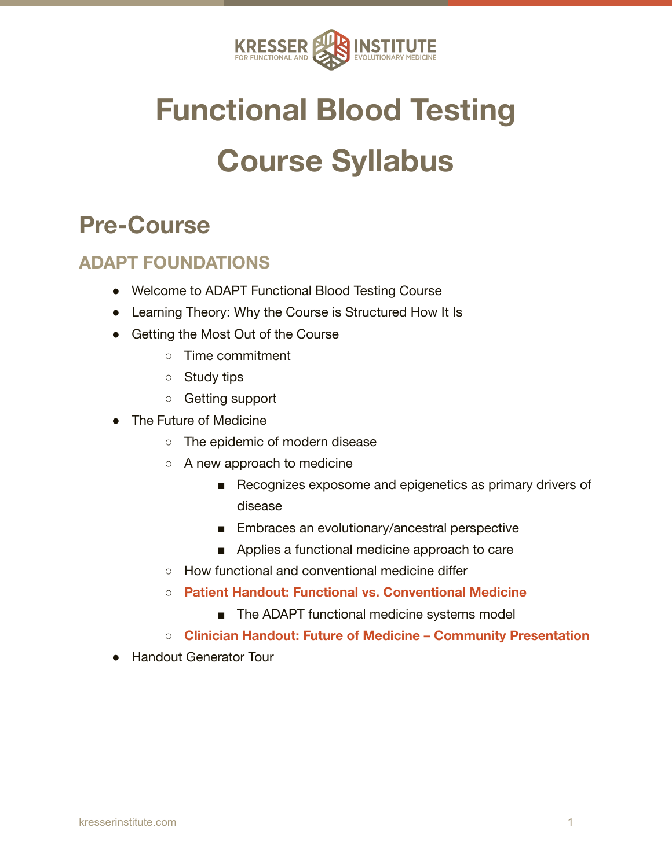

# **Functional Blood Testing Course Syllabus**

# **Pre-Course**

### **ADAPT FOUNDATIONS**

- Welcome to ADAPT Functional Blood Testing Course
- Learning Theory: Why the Course is Structured How It Is
- Getting the Most Out of the Course
	- Time commitment
	- Study tips
	- Getting support
- The Future of Medicine
	- The epidemic of modern disease
	- A new approach to medicine
		- Recognizes exposome and epigenetics as primary drivers of disease
		- Embraces an evolutionary/ancestral perspective
		- Applies a functional medicine approach to care
	- How functional and conventional medicine differ
	- **○ Patient Handout: Functional vs. Conventional Medicine**
		- The ADAPT functional medicine systems model
	- **○ Clinician Handout: Future of Medicine Community Presentation**
- **Handout Generator Tour**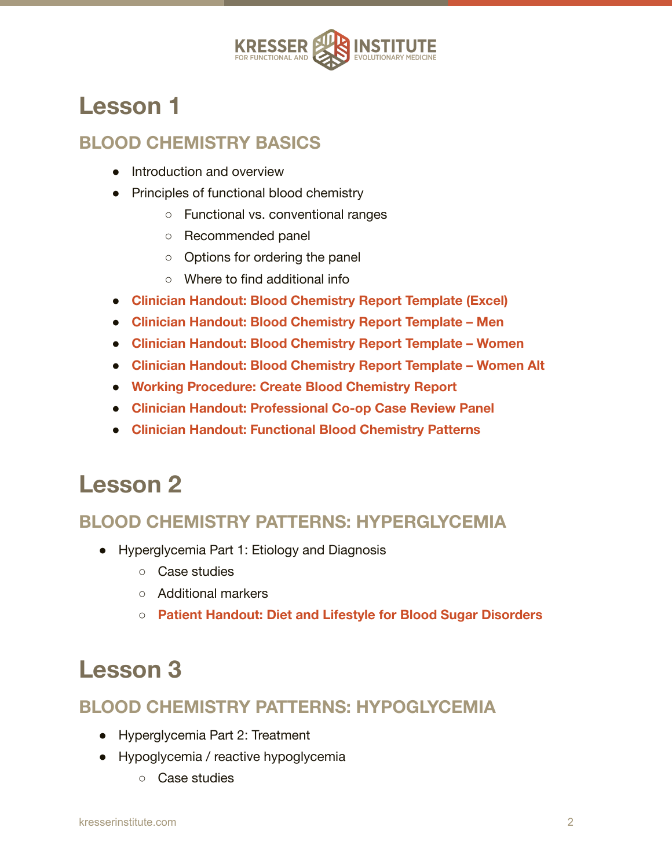

### **BLOOD CHEMISTRY BASICS**

- Introduction and overview
- Principles of functional blood chemistry
	- Functional vs. conventional ranges
	- Recommended panel
	- Options for ordering the panel
	- Where to find additional info
- **● Clinician Handout: Blood Chemistry Report Template (Excel)**
- **● Clinician Handout: Blood Chemistry Report Template Men**
- **● Clinician Handout: Blood Chemistry Report Template Women**
- **● Clinician Handout: Blood Chemistry Report Template Women Alt**
- **● Working Procedure: Create Blood Chemistry Report**
- **● Clinician Handout: Professional Co-op Case Review Panel**
- **● Clinician Handout: Functional Blood Chemistry Patterns**

### **Lesson 2**

### **BLOOD CHEMISTRY PATTERNS: HYPERGLYCEMIA**

- Hyperglycemia Part 1: Etiology and Diagnosis
	- Case studies
	- Additional markers
	- **○ Patient Handout: Diet and Lifestyle for Blood Sugar Disorders**

# **Lesson 3**

#### **BLOOD CHEMISTRY PATTERNS: HYPOGLYCEMIA**

- Hyperglycemia Part 2: Treatment
- Hypoglycemia / reactive hypoglycemia
	- Case studies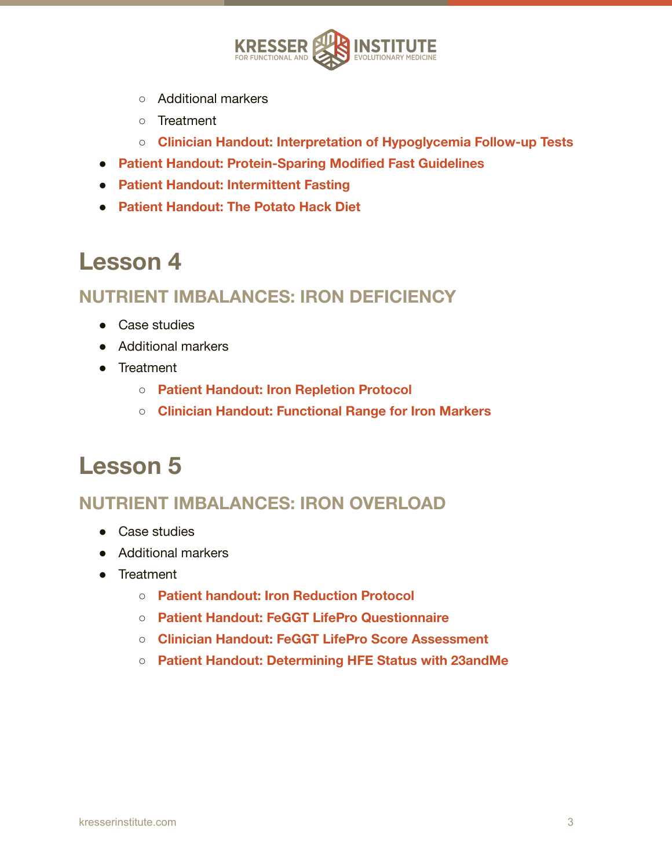

- Additional markers
- Treatment
- **○ Clinician Handout: Interpretation of Hypoglycemia Follow-up Tests**
- **● Patient Handout: Protein-Sparing Modified Fast Guidelines**
- **● Patient Handout: Intermittent Fasting**
- **● Patient Handout: The Potato Hack Diet**

#### **NUTRIENT IMBALANCES: IRON DEFICIENCY**

- Case studies
- Additional markers
- Treatment
	- **○ Patient Handout: Iron Repletion Protocol**
	- **○ Clinician Handout: Functional Range for Iron Markers**

### **Lesson 5**

#### **NUTRIENT IMBALANCES: IRON OVERLOAD**

- Case studies
- Additional markers
- Treatment
	- **○ Patient handout: Iron Reduction Protocol**
	- **○ Patient Handout: FeGGT LifePro Questionnaire**
	- **○ Clinician Handout: FeGGT LifePro Score Assessment**
	- **○ Patient Handout: Determining HFE Status with 23andMe**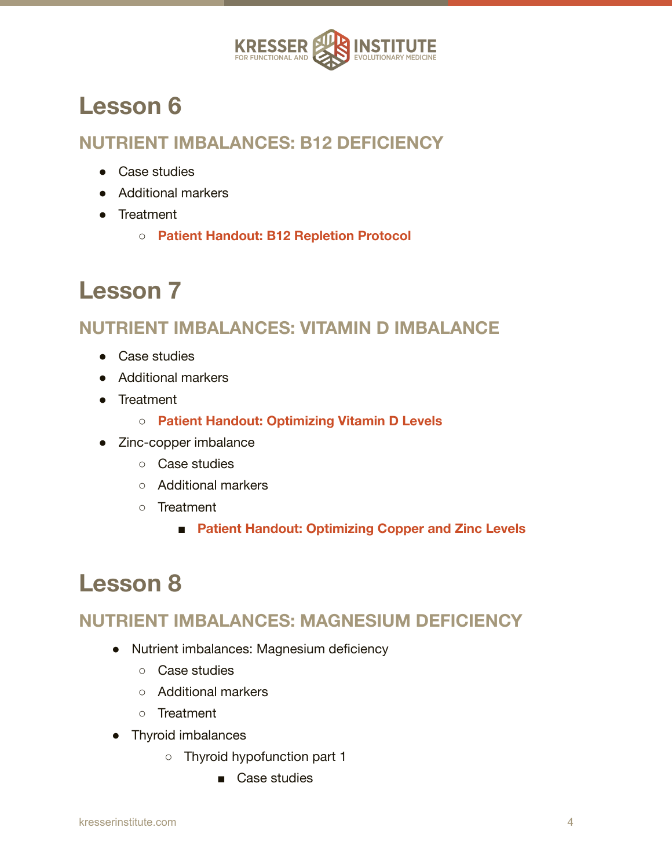

### **NUTRIENT IMBALANCES: B12 DEFICIENCY**

- Case studies
- Additional markers
- Treatment
	- **○ Patient Handout: B12 Repletion Protocol**

# **Lesson 7**

### **NUTRIENT IMBALANCES: VITAMIN D IMBALANCE**

- Case studies
- Additional markers
- Treatment
	- **○ Patient Handout: Optimizing Vitamin D Levels**
- Zinc-copper imbalance
	- Case studies
	- Additional markers
	- Treatment
		- **Patient Handout: Optimizing Copper and Zinc Levels**

# **Lesson 8**

### **NUTRIENT IMBALANCES: MAGNESIUM DEFICIENCY**

- Nutrient imbalances: Magnesium deficiency
	- Case studies
	- Additional markers
	- Treatment
- Thyroid imbalances
	- Thyroid hypofunction part 1
		- Case studies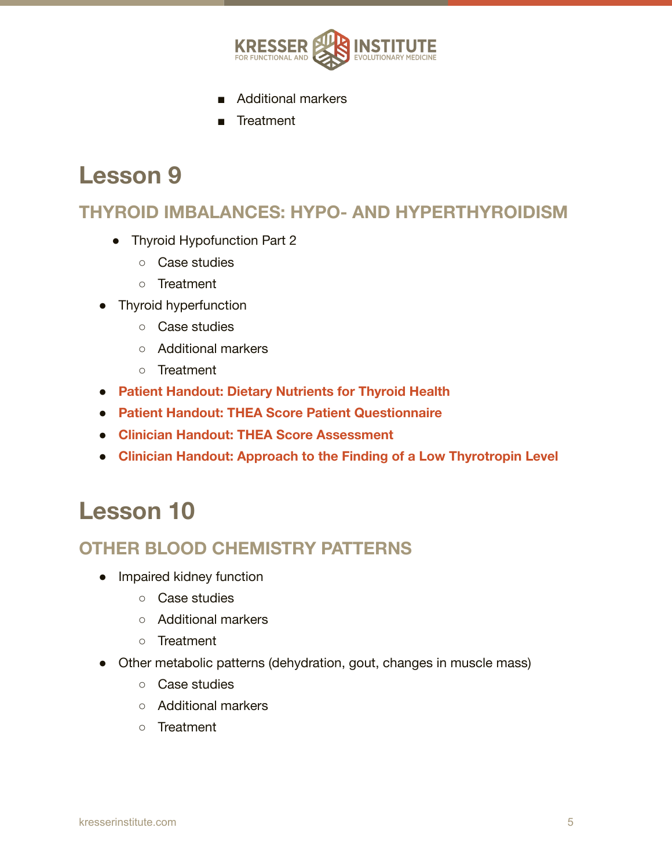

- Additional markers
- Treatment

#### **THYROID IMBALANCES: HYPO- AND HYPERTHYROIDISM**

- Thyroid Hypofunction Part 2
	- Case studies
	- Treatment
- Thyroid hyperfunction
	- Case studies
	- Additional markers
	- Treatment
- **● Patient Handout: Dietary Nutrients for Thyroid Health**
- **● Patient Handout: THEA Score Patient Questionnaire**
- **● Clinician Handout: THEA Score Assessment**
- **● Clinician Handout: Approach to the Finding of a Low Thyrotropin Level**

### **Lesson 10**

#### **OTHER BLOOD CHEMISTRY PATTERNS**

- Impaired kidney function
	- Case studies
	- Additional markers
	- Treatment
- Other metabolic patterns (dehydration, gout, changes in muscle mass)
	- Case studies
	- Additional markers
	- Treatment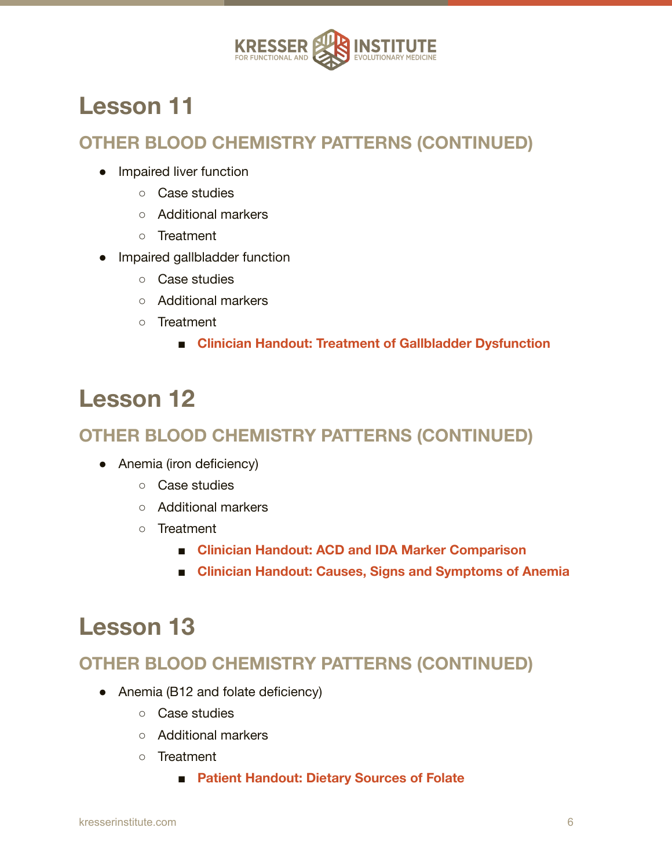

### **OTHER BLOOD CHEMISTRY PATTERNS (CONTINUED)**

- Impaired liver function
	- Case studies
	- Additional markers
	- Treatment
- Impaired gallbladder function
	- Case studies
	- Additional markers
	- Treatment
		- **■ Clinician Handout: Treatment of Gallbladder Dysfunction**

# **Lesson 12**

### **OTHER BLOOD CHEMISTRY PATTERNS (CONTINUED)**

- Anemia (iron deficiency)
	- Case studies
	- Additional markers
	- Treatment
		- **■ Clinician Handout: ACD and IDA Marker Comparison**
		- **■ Clinician Handout: Causes, Signs and Symptoms of Anemia**

### **Lesson 13**

### **OTHER BLOOD CHEMISTRY PATTERNS (CONTINUED)**

- Anemia (B12 and folate deficiency)
	- Case studies
	- Additional markers
	- Treatment
		- **Patient Handout: Dietary Sources of Folate**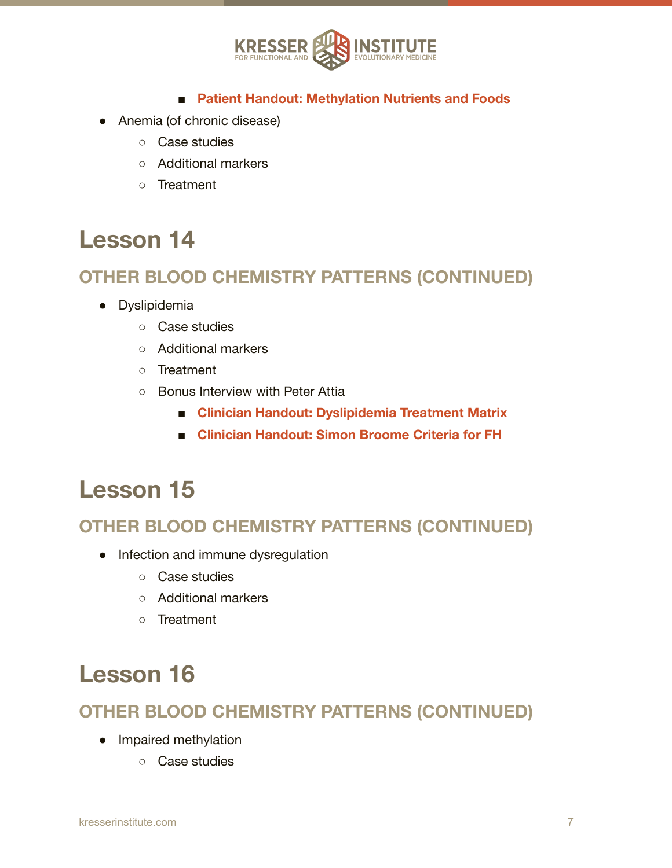

#### **■ Patient Handout: Methylation Nutrients and Foods**

- Anemia (of chronic disease)
	- Case studies
	- Additional markers
	- Treatment

### **Lesson 14**

#### **OTHER BLOOD CHEMISTRY PATTERNS (CONTINUED)**

- Dyslipidemia
	- Case studies
	- Additional markers
	- Treatment
	- Bonus Interview with Peter Attia
		- **■ Clinician Handout: Dyslipidemia Treatment Matrix**
		- **■ Clinician Handout: Simon Broome Criteria for FH**

### **Lesson 15**

#### **OTHER BLOOD CHEMISTRY PATTERNS (CONTINUED)**

- Infection and immune dysregulation
	- Case studies
	- Additional markers
	- Treatment

# **Lesson 16**

#### **OTHER BLOOD CHEMISTRY PATTERNS (CONTINUED)**

- Impaired methylation
	- Case studies